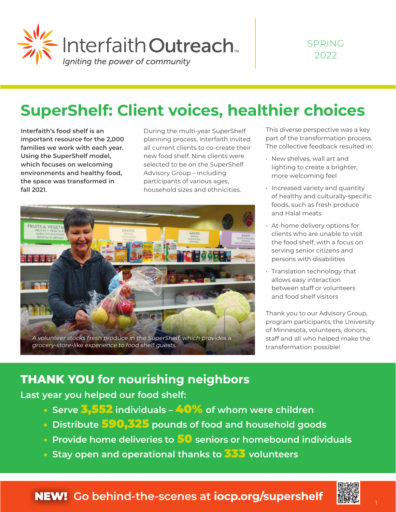

## **SuperShelf: Client voices, healthier choices**

**Interfaith's food shelf is an important resource for the 2,000 families we work with each year. Using the SuperShelf model, which focuses on welcoming environments and healthy food, the space was transformed in fall 2021.**

During the multi-year SuperShelf planning process, Interfaith invited all current clients to co-create their new food shelf. Nine clients were selected to be on the SuperShelf Advisory Group – including participants of various ages, household sizes and ethnicities.



This diverse perspective was a key part of the transformation process. The collective feedback resulted in:

- New shelves, wall art and lighting to create a brighter, more welcoming feel
- Increased variety and quantity of healthy and culturally-specific foods, such as fresh produce and Halal meats
- At-home delivery options for clients who are unable to visit the food shelf, with a focus on serving senior citizens and persons with disabilities
- Translation technology that allows easy interaction between staff or volunteers and food shelf visitors

Thank you to our Advisory Group, program participants, the University of Minnesota, volunteers, donors, staff and all who helped make the transformation possible!

### **THANK YOU for nourishing neighbors**

**Last year you helped our food shelf:**

- • **Serve** 3,552 **individuals** 40% **of whom were children**
- • **Distribute** 590,325 **pounds of food and household goods**
- • **Provide home deliveries to** 50 **seniors or homebound individuals**
- • **Stay open and operational thanks to** 333 **volunteers**

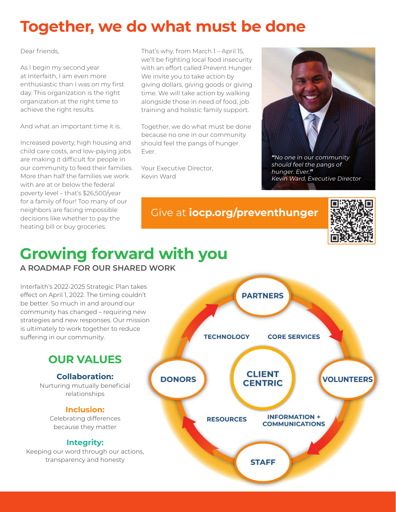## **Together, we do what must be done**

Dear friends,

As I begin my second year at Interfaith, I am even more enthusiastic than I was on my first day. This organization is the right organization at the right time to achieve the right results.

And what an important time it is.

Increased poverty, high housing and child care costs, and low-paying jobs are making it difficult for people in our community to feed their families. More than half the families we work with are at or below the federal poverty level – that's \$26,500/year for a family of four! Too many of our neighbors are facing impossible decisions like whether to pay the heating bill or buy groceries.

That's why, from March 1 – April 15, we'll be fighting local food insecurity with an effort called Prevent Hunger. We invite you to take action by giving dollars, giving goods or giving time. We will take action by walking alongside those in need of food, job training and holistic family support.

Together, we do what must be done because no one in our community should feel the pangs of hunger. Ever.

Your Executive Director, Kevin Ward



hunger. Ever.**"** Kevin Ward, Executive Director

Give at **iocp.org/preventhunger**



# **Growing forward with you**

**A ROADMAP FOR OUR SHARED WORK** 

Interfaith's 2022-2025 Strategic Plan takes effect on April 1, 2022. The timing couldn't be better. So much in and around our community has changed – requiring new strategies and new responses. Our mission is ultimately to work together to reduce suffering in our community.

### **OUR VALUES**

**Collaboration:** Nurturing mutually beneficial relationships

#### **Inclusion:**

Celebrating differences because they matter

#### **Integrity:**

Keeping our word through our actions, transparency and honesty

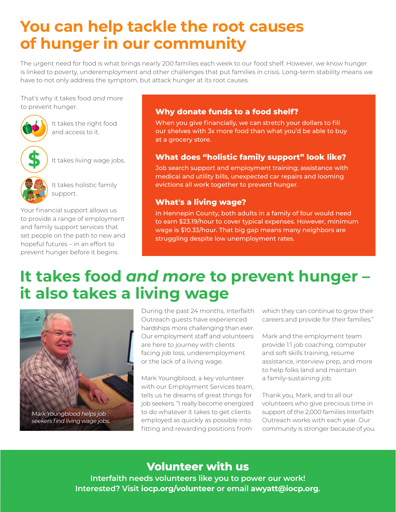## **You can help tackle the root causes of hunger in our community**

The urgent need for food is what brings nearly 200 families each week to our food shelf. However, we know hunger is linked to poverty, underemployment and other challenges that put families in crisis. Long-term stability means we have to not only address the symptom, but attack hunger at its root causes.

That's why it takes food *and more* to prevent hunger.



It takes the right food and access to it.



It takes living wage jobs.



It takes holistic family support.

Your financial support allows us to provide a range of employment and family support services that set people on the path to new and hopeful futures – in an effort to *prevent* hunger before it begins.

#### **Why donate funds to a food shelf?**

When you give financially, we can stretch your dollars to fill our shelves with 3x more food than what you'd be able to buy at a grocery store.

#### **What does "holistic family support" look like?**

Job search support and employment training; assistance with medical and utility bills, unexpected car repairs and looming evictions all work together to prevent hunger.

#### **What's a living wage?**

In Hennepin County, both adults in a family of four would need to earn \$23.19/hour to cover typical expenses. However, minimum wage is \$10.33/hour. That big gap means many neighbors are struggling despite low unemployment rates.

### **It takes food** *and more* **to prevent hunger – it also takes a living wage**



Mark Youngblood helps job seekers find living wage jobs.

During the past 24 months, Interfaith Outreach guests have experienced hardships more challenging than ever. Our employment staff and volunteers are here to journey with clients facing job loss, underemployment or the lack of a living wage.

Mark Youngblood, a key volunteer with our Employment Services team, tells us he dreams of great things for job seekers. "I really become energized to do whatever it takes to get clients employed as quickly as possible into fitting and rewarding positions from

which they can continue to grow their careers and provide for their families."

Mark and the employment team provide 1:1 job coaching, computer and soft skills training, resume assistance, interview prep, and more to help folks land and maintain a family-sustaining job.

Thank you, Mark, and to all our volunteers who give precious time in support of the 2,000 families Interfaith Outreach works with each year. Our community is stronger because of you.

### **Volunteer with us**

**Interfaith needs volunteers like you to power our work! Interested? Visit iocp.org/volunteer or email awyatt@iocp.org.**